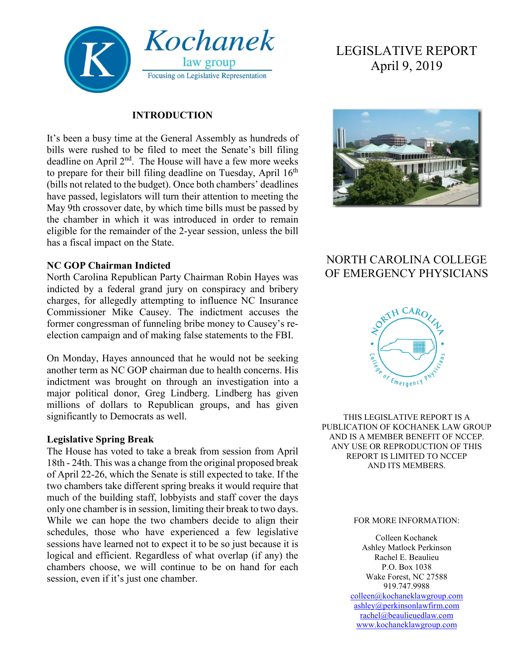

#### **INTRODUCTION**

It's been a busy time at the General Assembly as hundreds of bills were rushed to be filed to meet the Senate's bill filing deadline on April 2<sup>nd</sup>. The House will have a few more weeks to prepare for their bill filing deadline on Tuesday, April  $16<sup>th</sup>$ (bills not related to the budget). Once both chambers' deadlines have passed, legislators will turn their attention to meeting the May 9th crossover date, by which time bills must be passed by the chamber in which it was introduced in order to remain eligible for the remainder of the 2-year session, unless the bill has a fiscal impact on the State.

#### **NC GOP Chairman Indicted**

North Carolina Republican Party Chairman Robin Hayes was indicted by a federal grand jury on conspiracy and bribery charges, for allegedly attempting to influence NC Insurance Commissioner Mike Causey. The indictment accuses the former congressman of funneling bribe money to Causey's reelection campaign and of making false statements to the FBI.

On Monday, Hayes announced that he would not be seeking another term as NC GOP chairman due to health concerns. His indictment was brought on through an investigation into a major political donor, Greg Lindberg. Lindberg has given millions of dollars to Republican groups, and has given significantly to Democrats as well.

#### **Legislative Spring Break**

The House has voted to take a break from session from April 18th - 24th. This was a change from the original proposed break of April 22-26, which the Senate is still expected to take. If the two chambers take different spring breaks it would require that much of the building staff, lobbyists and staff cover the days only one chamber is in session, limiting their break to two days. While we can hope the two chambers decide to align their schedules, those who have experienced a few legislative sessions have learned not to expect it to be so just because it is logical and efficient. Regardless of what overlap (if any) the chambers choose, we will continue to be on hand for each session, even if it's just one chamber.

# LEGISLATIVE REPORT April 9, 2019



## NORTH CAROLINA COLLEGE OF EMERGENCY PHYSICIANS



THIS LEGISLATIVE REPORT IS A PUBLICATION OF KOCHANEK LAW GROUP AND IS A MEMBER BENEFIT OF NCCEP. ANY USE OR REPRODUCTION OF THIS REPORT IS LIMITED TO NCCEP AND ITS MEMBERS.

#### FOR MORE INFORMATION:

Colleen Kochanek Ashley Matlock Perkinson Rachel E. Beaulieu P.O. Box 1038 Wake Forest, NC 27588 919.747.9988 [colleen@kochaneklawgroup.com](mailto:colleen@kochaneklawgroup.com) [ashley@perkinsonlawfirm.com](mailto:ashley@perkinsonlawfirm.com) [rachel@beaulieuedlaw.com](mailto:rachel@beaulieuedlaw.com) [www.kochaneklawgroup.com](http://www.kochaneklawgroup.com/)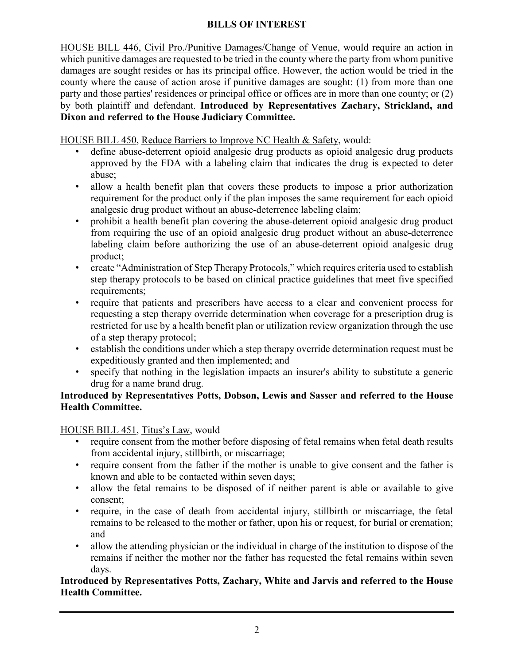### **BILLS OF INTEREST**

HOUSE BILL 446, Civil Pro./Punitive Damages/Change of Venue, would require an action in which punitive damages are requested to be tried in the county where the party from whom punitive damages are sought resides or has its principal office. However, the action would be tried in the county where the cause of action arose if punitive damages are sought: (1) from more than one party and those parties' residences or principal office or offices are in more than one county; or (2) by both plaintiff and defendant. **Introduced by Representatives Zachary, Strickland, and Dixon and referred to the House Judiciary Committee.**

### HOUSE BILL 450, Reduce Barriers to Improve NC Health & Safety, would:

- define abuse-deterrent opioid analgesic drug products as opioid analgesic drug products approved by the FDA with a labeling claim that indicates the drug is expected to deter abuse;
- allow a health benefit plan that covers these products to impose a prior authorization requirement for the product only if the plan imposes the same requirement for each opioid analgesic drug product without an abuse-deterrence labeling claim;
- prohibit a health benefit plan covering the abuse-deterrent opioid analgesic drug product from requiring the use of an opioid analgesic drug product without an abuse-deterrence labeling claim before authorizing the use of an abuse-deterrent opioid analgesic drug product;
- create "Administration of Step Therapy Protocols," which requires criteria used to establish step therapy protocols to be based on clinical practice guidelines that meet five specified requirements;
- require that patients and prescribers have access to a clear and convenient process for requesting a step therapy override determination when coverage for a prescription drug is restricted for use by a health benefit plan or utilization review organization through the use of a step therapy protocol;
- establish the conditions under which a step therapy override determination request must be expeditiously granted and then implemented; and
- specify that nothing in the legislation impacts an insurer's ability to substitute a generic drug for a name brand drug.

### **Introduced by Representatives Potts, Dobson, Lewis and Sasser and referred to the House Health Committee.**

#### HOUSE BILL 451, Titus's Law, would

- require consent from the mother before disposing of fetal remains when fetal death results from accidental injury, stillbirth, or miscarriage;
- require consent from the father if the mother is unable to give consent and the father is known and able to be contacted within seven days;
- allow the fetal remains to be disposed of if neither parent is able or available to give consent;
- require, in the case of death from accidental injury, stillbirth or miscarriage, the fetal remains to be released to the mother or father, upon his or request, for burial or cremation; and
- allow the attending physician or the individual in charge of the institution to dispose of the remains if neither the mother nor the father has requested the fetal remains within seven days.

### **Introduced by Representatives Potts, Zachary, White and Jarvis and referred to the House Health Committee.**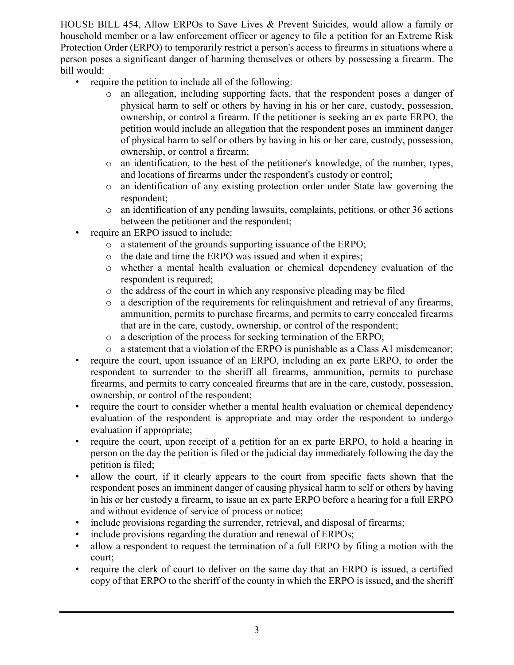HOUSE BILL 454, Allow ERPOs to Save Lives & Prevent Suicides, would allow a family or household member or a law enforcement officer or agency to file a petition for an Extreme Risk Protection Order (ERPO) to temporarily restrict a person's access to firearms in situations where a person poses a significant danger of harming themselves or others by possessing a firearm. The bill would:

- require the petition to include all of the following:
	- o an allegation, including supporting facts, that the respondent poses a danger of physical harm to self or others by having in his or her care, custody, possession, ownership, or control a firearm. If the petitioner is seeking an ex parte ERPO, the petition would include an allegation that the respondent poses an imminent danger of physical harm to self or others by having in his or her care, custody, possession, ownership, or control a firearm;
	- o an identification, to the best of the petitioner's knowledge, of the number, types, and locations of firearms under the respondent's custody or control;
	- o an identification of any existing protection order under State law governing the respondent;
	- o an identification of any pending lawsuits, complaints, petitions, or other 36 actions between the petitioner and the respondent;
- require an ERPO issued to include:
	- o a statement of the grounds supporting issuance of the ERPO;
	- o the date and time the ERPO was issued and when it expires;
	- o whether a mental health evaluation or chemical dependency evaluation of the respondent is required;
	- $\circ$  the address of the court in which any responsive pleading may be filed  $\circ$  a description of the requirements for relinguishment and retrieval of an
	- a description of the requirements for relinquishment and retrieval of any firearms, ammunition, permits to purchase firearms, and permits to carry concealed firearms that are in the care, custody, ownership, or control of the respondent;
	- o a description of the process for seeking termination of the ERPO;
	- o a statement that a violation of the ERPO is punishable as a Class A1 misdemeanor;
- require the court, upon issuance of an ERPO, including an ex parte ERPO, to order the respondent to surrender to the sheriff all firearms, ammunition, permits to purchase firearms, and permits to carry concealed firearms that are in the care, custody, possession, ownership, or control of the respondent;
- require the court to consider whether a mental health evaluation or chemical dependency evaluation of the respondent is appropriate and may order the respondent to undergo evaluation if appropriate;
- require the court, upon receipt of a petition for an ex parte ERPO, to hold a hearing in person on the day the petition is filed or the judicial day immediately following the day the petition is filed;
- allow the court, if it clearly appears to the court from specific facts shown that the respondent poses an imminent danger of causing physical harm to self or others by having in his or her custody a firearm, to issue an ex parte ERPO before a hearing for a full ERPO and without evidence of service of process or notice;
- include provisions regarding the surrender, retrieval, and disposal of firearms;
- include provisions regarding the duration and renewal of ERPOs;
- allow a respondent to request the termination of a full ERPO by filing a motion with the court;
- require the clerk of court to deliver on the same day that an ERPO is issued, a certified copy of that ERPO to the sheriff of the county in which the ERPO is issued, and the sheriff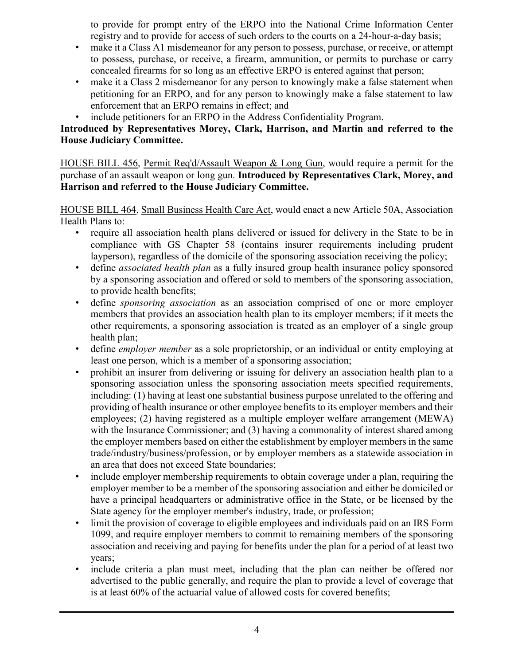to provide for prompt entry of the ERPO into the National Crime Information Center registry and to provide for access of such orders to the courts on a 24-hour-a-day basis;

- make it a Class A1 misdemeanor for any person to possess, purchase, or receive, or attempt to possess, purchase, or receive, a firearm, ammunition, or permits to purchase or carry concealed firearms for so long as an effective ERPO is entered against that person;
- make it a Class 2 misdemeanor for any person to knowingly make a false statement when petitioning for an ERPO, and for any person to knowingly make a false statement to law enforcement that an ERPO remains in effect; and
- include petitioners for an ERPO in the Address Confidentiality Program.

### **Introduced by Representatives Morey, Clark, Harrison, and Martin and referred to the House Judiciary Committee.**

HOUSE BILL 456, Permit Req'd/Assault Weapon & Long Gun, would require a permit for the purchase of an assault weapon or long gun. **Introduced by Representatives Clark, Morey, and Harrison and referred to the House Judiciary Committee.**

HOUSE BILL 464, Small Business Health Care Act, would enact a new Article 50A, Association Health Plans to:

- require all association health plans delivered or issued for delivery in the State to be in compliance with GS Chapter 58 (contains insurer requirements including prudent layperson), regardless of the domicile of the sponsoring association receiving the policy;
- define *associated health plan* as a fully insured group health insurance policy sponsored by a sponsoring association and offered or sold to members of the sponsoring association, to provide health benefits;
- define *sponsoring association* as an association comprised of one or more employer members that provides an association health plan to its employer members; if it meets the other requirements, a sponsoring association is treated as an employer of a single group health plan;
- define *employer member* as a sole proprietorship, or an individual or entity employing at least one person, which is a member of a sponsoring association;
- prohibit an insurer from delivering or issuing for delivery an association health plan to a sponsoring association unless the sponsoring association meets specified requirements, including: (1) having at least one substantial business purpose unrelated to the offering and providing of health insurance or other employee benefits to its employer members and their employees; (2) having registered as a multiple employer welfare arrangement (MEWA) with the Insurance Commissioner; and (3) having a commonality of interest shared among the employer members based on either the establishment by employer members in the same trade/industry/business/profession, or by employer members as a statewide association in an area that does not exceed State boundaries;
- include employer membership requirements to obtain coverage under a plan, requiring the employer member to be a member of the sponsoring association and either be domiciled or have a principal headquarters or administrative office in the State, or be licensed by the State agency for the employer member's industry, trade, or profession;
- limit the provision of coverage to eligible employees and individuals paid on an IRS Form 1099, and require employer members to commit to remaining members of the sponsoring association and receiving and paying for benefits under the plan for a period of at least two years;
- include criteria a plan must meet, including that the plan can neither be offered nor advertised to the public generally, and require the plan to provide a level of coverage that is at least 60% of the actuarial value of allowed costs for covered benefits;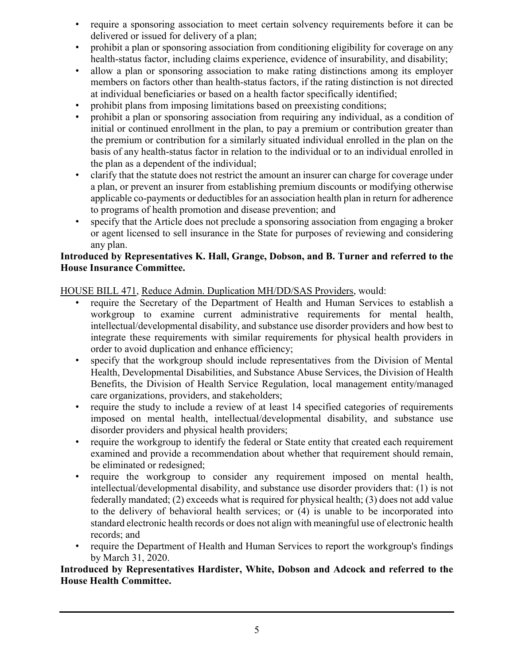- require a sponsoring association to meet certain solvency requirements before it can be delivered or issued for delivery of a plan;
- prohibit a plan or sponsoring association from conditioning eligibility for coverage on any health-status factor, including claims experience, evidence of insurability, and disability;
- allow a plan or sponsoring association to make rating distinctions among its employer members on factors other than health-status factors, if the rating distinction is not directed at individual beneficiaries or based on a health factor specifically identified;
- prohibit plans from imposing limitations based on preexisting conditions;
- prohibit a plan or sponsoring association from requiring any individual, as a condition of initial or continued enrollment in the plan, to pay a premium or contribution greater than the premium or contribution for a similarly situated individual enrolled in the plan on the basis of any health-status factor in relation to the individual or to an individual enrolled in the plan as a dependent of the individual;
- clarify that the statute does not restrict the amount an insurer can charge for coverage under a plan, or prevent an insurer from establishing premium discounts or modifying otherwise applicable co-payments or deductibles for an association health plan in return for adherence to programs of health promotion and disease prevention; and
- specify that the Article does not preclude a sponsoring association from engaging a broker or agent licensed to sell insurance in the State for purposes of reviewing and considering any plan.

### **Introduced by Representatives K. Hall, Grange, Dobson, and B. Turner and referred to the House Insurance Committee.**

HOUSE BILL 471, Reduce Admin. Duplication MH/DD/SAS Providers, would:

- require the Secretary of the Department of Health and Human Services to establish a workgroup to examine current administrative requirements for mental health, intellectual/developmental disability, and substance use disorder providers and how best to integrate these requirements with similar requirements for physical health providers in order to avoid duplication and enhance efficiency;
- specify that the workgroup should include representatives from the Division of Mental Health, Developmental Disabilities, and Substance Abuse Services, the Division of Health Benefits, the Division of Health Service Regulation, local management entity/managed care organizations, providers, and stakeholders;
- require the study to include a review of at least 14 specified categories of requirements imposed on mental health, intellectual/developmental disability, and substance use disorder providers and physical health providers;
- require the workgroup to identify the federal or State entity that created each requirement examined and provide a recommendation about whether that requirement should remain, be eliminated or redesigned;
- require the workgroup to consider any requirement imposed on mental health, intellectual/developmental disability, and substance use disorder providers that: (1) is not federally mandated; (2) exceeds what is required for physical health; (3) does not add value to the delivery of behavioral health services; or (4) is unable to be incorporated into standard electronic health records or does not align with meaningful use of electronic health records; and
- require the Department of Health and Human Services to report the workgroup's findings by March 31, 2020.

### **Introduced by Representatives Hardister, White, Dobson and Adcock and referred to the House Health Committee.**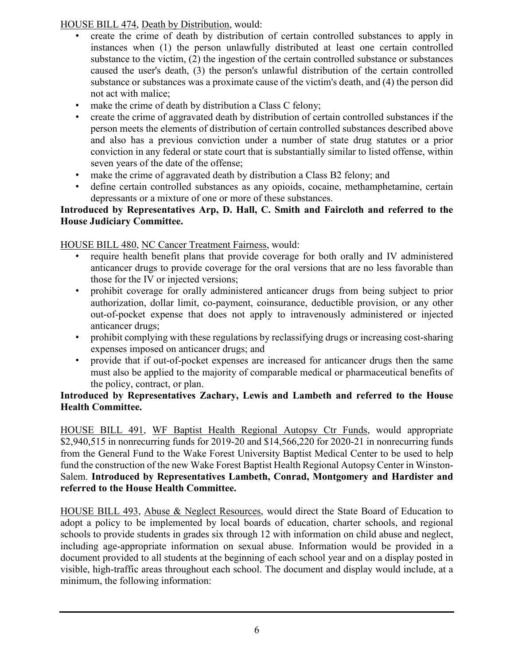HOUSE BILL 474, Death by Distribution, would:

- create the crime of death by distribution of certain controlled substances to apply in instances when (1) the person unlawfully distributed at least one certain controlled substance to the victim, (2) the ingestion of the certain controlled substance or substances caused the user's death, (3) the person's unlawful distribution of the certain controlled substance or substances was a proximate cause of the victim's death, and (4) the person did not act with malice;
- make the crime of death by distribution a Class C felony;
- create the crime of aggravated death by distribution of certain controlled substances if the person meets the elements of distribution of certain controlled substances described above and also has a previous conviction under a number of state drug statutes or a prior conviction in any federal or state court that is substantially similar to listed offense, within seven years of the date of the offense;
- make the crime of aggravated death by distribution a Class B2 felony; and
- define certain controlled substances as any opioids, cocaine, methamphetamine, certain depressants or a mixture of one or more of these substances.

### **Introduced by Representatives Arp, D. Hall, C. Smith and Faircloth and referred to the House Judiciary Committee.**

HOUSE BILL 480, NC Cancer Treatment Fairness, would:

- require health benefit plans that provide coverage for both orally and IV administered anticancer drugs to provide coverage for the oral versions that are no less favorable than those for the IV or injected versions;
- prohibit coverage for orally administered anticancer drugs from being subject to prior authorization, dollar limit, co-payment, coinsurance, deductible provision, or any other out-of-pocket expense that does not apply to intravenously administered or injected anticancer drugs;
- prohibit complying with these regulations by reclassifying drugs or increasing cost-sharing expenses imposed on anticancer drugs; and
- provide that if out-of-pocket expenses are increased for anticancer drugs then the same must also be applied to the majority of comparable medical or pharmaceutical benefits of the policy, contract, or plan.

### **Introduced by Representatives Zachary, Lewis and Lambeth and referred to the House Health Committee.**

HOUSE BILL 491, WF Baptist Health Regional Autopsy Ctr Funds, would appropriate \$2,940,515 in nonrecurring funds for 2019-20 and \$14,566,220 for 2020-21 in nonrecurring funds from the General Fund to the Wake Forest University Baptist Medical Center to be used to help fund the construction of the new Wake Forest Baptist Health Regional Autopsy Center in Winston-Salem. **Introduced by Representatives Lambeth, Conrad, Montgomery and Hardister and referred to the House Health Committee.**

HOUSE BILL 493, Abuse & Neglect Resources, would direct the State Board of Education to adopt a policy to be implemented by local boards of education, charter schools, and regional schools to provide students in grades six through 12 with information on child abuse and neglect, including age-appropriate information on sexual abuse. Information would be provided in a document provided to all students at the beginning of each school year and on a display posted in visible, high-traffic areas throughout each school. The document and display would include, at a minimum, the following information: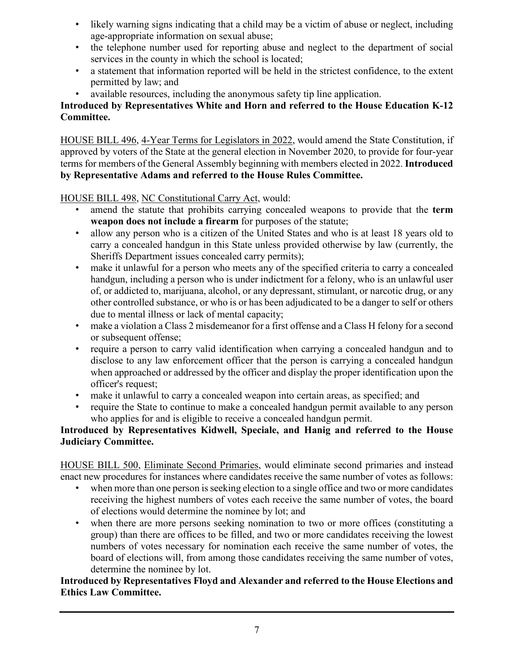- likely warning signs indicating that a child may be a victim of abuse or neglect, including age-appropriate information on sexual abuse;
- the telephone number used for reporting abuse and neglect to the department of social services in the county in which the school is located;
- a statement that information reported will be held in the strictest confidence, to the extent permitted by law; and
- available resources, including the anonymous safety tip line application.

### **Introduced by Representatives White and Horn and referred to the House Education K-12 Committee.**

HOUSE BILL 496, 4-Year Terms for Legislators in 2022, would amend the State Constitution, if approved by voters of the State at the general election in November 2020, to provide for four-year terms for members of the General Assembly beginning with members elected in 2022. **Introduced by Representative Adams and referred to the House Rules Committee.**

### HOUSE BILL 498, NC Constitutional Carry Act, would:

- amend the statute that prohibits carrying concealed weapons to provide that the **term weapon does not include a firearm** for purposes of the statute;
- allow any person who is a citizen of the United States and who is at least 18 years old to carry a concealed handgun in this State unless provided otherwise by law (currently, the Sheriffs Department issues concealed carry permits);
- make it unlawful for a person who meets any of the specified criteria to carry a concealed handgun, including a person who is under indictment for a felony, who is an unlawful user of, or addicted to, marijuana, alcohol, or any depressant, stimulant, or narcotic drug, or any other controlled substance, or who is or has been adjudicated to be a danger to self or others due to mental illness or lack of mental capacity;
- make a violation a Class 2 misdemeanor for a first offense and a Class H felony for a second or subsequent offense;
- require a person to carry valid identification when carrying a concealed handgun and to disclose to any law enforcement officer that the person is carrying a concealed handgun when approached or addressed by the officer and display the proper identification upon the officer's request;
- make it unlawful to carry a concealed weapon into certain areas, as specified; and
- require the State to continue to make a concealed handgun permit available to any person who applies for and is eligible to receive a concealed handgun permit.

### **Introduced by Representatives Kidwell, Speciale, and Hanig and referred to the House Judiciary Committee.**

HOUSE BILL 500, Eliminate Second Primaries, would eliminate second primaries and instead enact new procedures for instances where candidates receive the same number of votes as follows:

- when more than one person is seeking election to a single office and two or more candidates receiving the highest numbers of votes each receive the same number of votes, the board of elections would determine the nominee by lot; and
- when there are more persons seeking nomination to two or more offices (constituting a group) than there are offices to be filled, and two or more candidates receiving the lowest numbers of votes necessary for nomination each receive the same number of votes, the board of elections will, from among those candidates receiving the same number of votes, determine the nominee by lot.

### **Introduced by Representatives Floyd and Alexander and referred to the House Elections and Ethics Law Committee.**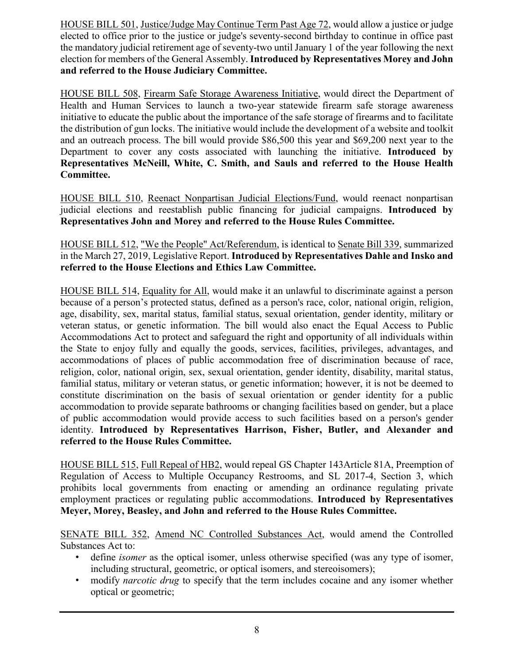HOUSE BILL 501, Justice/Judge May Continue Term Past Age 72, would allow a justice or judge elected to office prior to the justice or judge's seventy-second birthday to continue in office past the mandatory judicial retirement age of seventy-two until January 1 of the year following the next election for members of the General Assembly. **Introduced by Representatives Morey and John and referred to the House Judiciary Committee.**

HOUSE BILL 508, Firearm Safe Storage Awareness Initiative, would direct the Department of Health and Human Services to launch a two-year statewide firearm safe storage awareness initiative to educate the public about the importance of the safe storage of firearms and to facilitate the distribution of gun locks. The initiative would include the development of a website and toolkit and an outreach process. The bill would provide \$86,500 this year and \$69,200 next year to the Department to cover any costs associated with launching the initiative. **Introduced by Representatives McNeill, White, C. Smith, and Sauls and referred to the House Health Committee.**

HOUSE BILL 510, Reenact Nonpartisan Judicial Elections/Fund, would reenact nonpartisan judicial elections and reestablish public financing for judicial campaigns. **Introduced by Representatives John and Morey and referred to the House Rules Committee.**

HOUSE BILL 512, "We the People" Act/Referendum, is identical to Senate Bill 339, summarized in the March 27, 2019, Legislative Report. **Introduced by Representatives Dahle and Insko and referred to the House Elections and Ethics Law Committee.**

HOUSE BILL 514, Equality for All, would make it an unlawful to discriminate against a person because of a person's protected status, defined as a person's race, color, national origin, religion, age, disability, sex, marital status, familial status, sexual orientation, gender identity, military or veteran status, or genetic information. The bill would also enact the Equal Access to Public Accommodations Act to protect and safeguard the right and opportunity of all individuals within the State to enjoy fully and equally the goods, services, facilities, privileges, advantages, and accommodations of places of public accommodation free of discrimination because of race, religion, color, national origin, sex, sexual orientation, gender identity, disability, marital status, familial status, military or veteran status, or genetic information; however, it is not be deemed to constitute discrimination on the basis of sexual orientation or gender identity for a public accommodation to provide separate bathrooms or changing facilities based on gender, but a place of public accommodation would provide access to such facilities based on a person's gender identity. **Introduced by Representatives Harrison, Fisher, Butler, and Alexander and referred to the House Rules Committee.**

HOUSE BILL 515, Full Repeal of HB2, would repeal GS Chapter 143Article 81A, Preemption of Regulation of Access to Multiple Occupancy Restrooms, and SL 2017-4, Section 3, which prohibits local governments from enacting or amending an ordinance regulating private employment practices or regulating public accommodations. **Introduced by Representatives Meyer, Morey, Beasley, and John and referred to the House Rules Committee.**

SENATE BILL 352, Amend NC Controlled Substances Act, would amend the Controlled Substances Act to:

- define *isomer* as the optical isomer, unless otherwise specified (was any type of isomer, including structural, geometric, or optical isomers, and stereoisomers);
- modify *narcotic drug* to specify that the term includes cocaine and any isomer whether optical or geometric;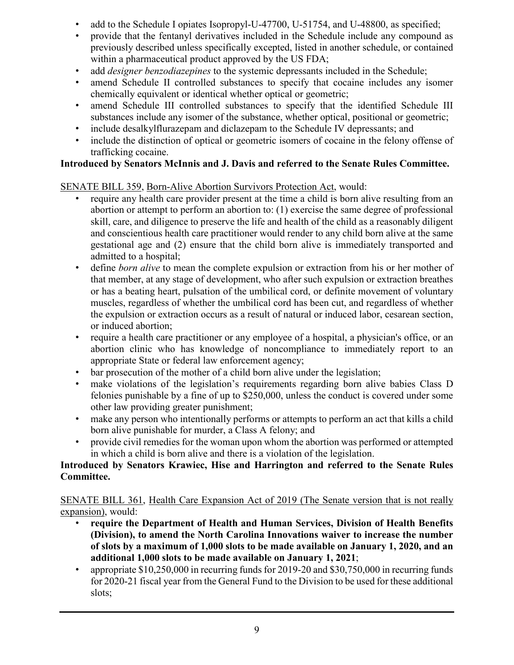- add to the Schedule I opiates Isopropyl-U-47700, U-51754, and U-48800, as specified;
- provide that the fentanyl derivatives included in the Schedule include any compound as previously described unless specifically excepted, listed in another schedule, or contained within a pharmaceutical product approved by the US FDA;
- add *designer benzodiazepines* to the systemic depressants included in the Schedule;
- amend Schedule II controlled substances to specify that cocaine includes any isomer chemically equivalent or identical whether optical or geometric;
- amend Schedule III controlled substances to specify that the identified Schedule III substances include any isomer of the substance, whether optical, positional or geometric;
- include desalkylflurazepam and diclazepam to the Schedule IV depressants; and
- include the distinction of optical or geometric isomers of cocaine in the felony offense of trafficking cocaine.

### **Introduced by Senators McInnis and J. Davis and referred to the Senate Rules Committee.**

### SENATE BILL 359, Born-Alive Abortion Survivors Protection Act, would:

- require any health care provider present at the time a child is born alive resulting from an abortion or attempt to perform an abortion to: (1) exercise the same degree of professional skill, care, and diligence to preserve the life and health of the child as a reasonably diligent and conscientious health care practitioner would render to any child born alive at the same gestational age and (2) ensure that the child born alive is immediately transported and admitted to a hospital;
- define *born alive* to mean the complete expulsion or extraction from his or her mother of that member, at any stage of development, who after such expulsion or extraction breathes or has a beating heart, pulsation of the umbilical cord, or definite movement of voluntary muscles, regardless of whether the umbilical cord has been cut, and regardless of whether the expulsion or extraction occurs as a result of natural or induced labor, cesarean section, or induced abortion;
- require a health care practitioner or any employee of a hospital, a physician's office, or an abortion clinic who has knowledge of noncompliance to immediately report to an appropriate State or federal law enforcement agency;
- bar prosecution of the mother of a child born alive under the legislation;
- make violations of the legislation's requirements regarding born alive babies Class D felonies punishable by a fine of up to \$250,000, unless the conduct is covered under some other law providing greater punishment;
- make any person who intentionally performs or attempts to perform an act that kills a child born alive punishable for murder, a Class A felony; and
- provide civil remedies for the woman upon whom the abortion was performed or attempted in which a child is born alive and there is a violation of the legislation.

### **Introduced by Senators Krawiec, Hise and Harrington and referred to the Senate Rules Committee.**

SENATE BILL 361, Health Care Expansion Act of 2019 (The Senate version that is not really expansion), would:

- **require the Department of Health and Human Services, Division of Health Benefits (Division), to amend the North Carolina Innovations waiver to increase the number of slots by a maximum of 1,000 slots to be made available on January 1, 2020, and an additional 1,000 slots to be made available on January 1, 2021**;
- appropriate \$10,250,000 in recurring funds for 2019-20 and \$30,750,000 in recurring funds for 2020-21 fiscal year from the General Fund to the Division to be used for these additional slots;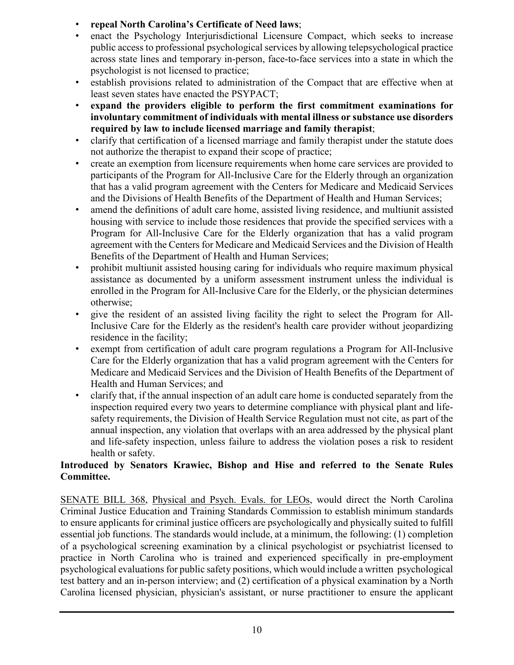- **repeal North Carolina's Certificate of Need laws**;
- enact the Psychology Interjurisdictional Licensure Compact, which seeks to increase public access to professional psychological services by allowing telepsychological practice across state lines and temporary in-person, face-to-face services into a state in which the psychologist is not licensed to practice;
- establish provisions related to administration of the Compact that are effective when at least seven states have enacted the PSYPACT;
- **expand the providers eligible to perform the first commitment examinations for involuntary commitment of individuals with mental illness or substance use disorders required by law to include licensed marriage and family therapist**;
- clarify that certification of a licensed marriage and family therapist under the statute does not authorize the therapist to expand their scope of practice;
- create an exemption from licensure requirements when home care services are provided to participants of the Program for All-Inclusive Care for the Elderly through an organization that has a valid program agreement with the Centers for Medicare and Medicaid Services and the Divisions of Health Benefits of the Department of Health and Human Services;
- amend the definitions of adult care home, assisted living residence, and multiunit assisted housing with service to include those residences that provide the specified services with a Program for All-Inclusive Care for the Elderly organization that has a valid program agreement with the Centers for Medicare and Medicaid Services and the Division of Health Benefits of the Department of Health and Human Services;
- prohibit multiunit assisted housing caring for individuals who require maximum physical assistance as documented by a uniform assessment instrument unless the individual is enrolled in the Program for All-Inclusive Care for the Elderly, or the physician determines otherwise;
- give the resident of an assisted living facility the right to select the Program for All-Inclusive Care for the Elderly as the resident's health care provider without jeopardizing residence in the facility;
- exempt from certification of adult care program regulations a Program for All-Inclusive Care for the Elderly organization that has a valid program agreement with the Centers for Medicare and Medicaid Services and the Division of Health Benefits of the Department of Health and Human Services; and
- clarify that, if the annual inspection of an adult care home is conducted separately from the inspection required every two years to determine compliance with physical plant and lifesafety requirements, the Division of Health Service Regulation must not cite, as part of the annual inspection, any violation that overlaps with an area addressed by the physical plant and life-safety inspection, unless failure to address the violation poses a risk to resident health or safety.

### **Introduced by Senators Krawiec, Bishop and Hise and referred to the Senate Rules Committee.**

SENATE BILL 368, Physical and Psych. Evals. for LEOs, would direct the North Carolina Criminal Justice Education and Training Standards Commission to establish minimum standards to ensure applicants for criminal justice officers are psychologically and physically suited to fulfill essential job functions. The standards would include, at a minimum, the following: (1) completion of a psychological screening examination by a clinical psychologist or psychiatrist licensed to practice in North Carolina who is trained and experienced specifically in pre-employment psychological evaluations for public safety positions, which would include a written psychological test battery and an in-person interview; and (2) certification of a physical examination by a North Carolina licensed physician, physician's assistant, or nurse practitioner to ensure the applicant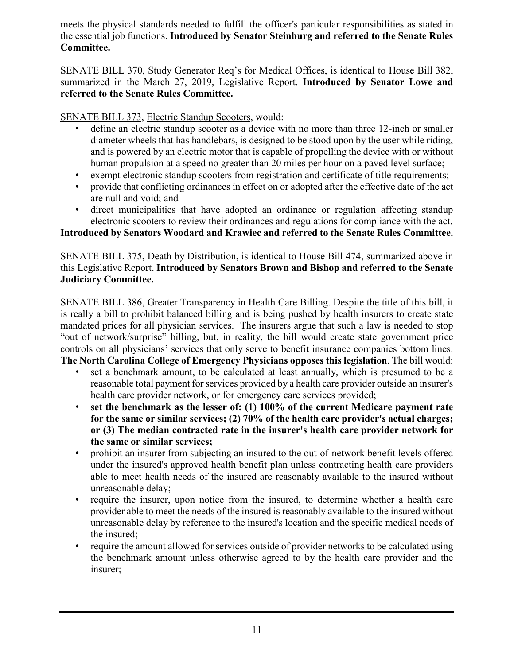meets the physical standards needed to fulfill the officer's particular responsibilities as stated in the essential job functions. **Introduced by Senator Steinburg and referred to the Senate Rules Committee.**

SENATE BILL 370, Study Generator Req's for Medical Offices, is identical to House Bill 382, summarized in the March 27, 2019, Legislative Report. **Introduced by Senator Lowe and referred to the Senate Rules Committee.**

SENATE BILL 373, Electric Standup Scooters, would:

- define an electric standup scooter as a device with no more than three 12-inch or smaller diameter wheels that has handlebars, is designed to be stood upon by the user while riding, and is powered by an electric motor that is capable of propelling the device with or without human propulsion at a speed no greater than 20 miles per hour on a paved level surface;
- exempt electronic standup scooters from registration and certificate of title requirements;
- provide that conflicting ordinances in effect on or adopted after the effective date of the act are null and void; and
- direct municipalities that have adopted an ordinance or regulation affecting standup electronic scooters to review their ordinances and regulations for compliance with the act.

### **Introduced by Senators Woodard and Krawiec and referred to the Senate Rules Committee.**

SENATE BILL 375, Death by Distribution, is identical to House Bill 474, summarized above in this Legislative Report. **Introduced by Senators Brown and Bishop and referred to the Senate Judiciary Committee.**

SENATE BILL 386, Greater Transparency in Health Care Billing. Despite the title of this bill, it is really a bill to prohibit balanced billing and is being pushed by health insurers to create state mandated prices for all physician services. The insurers argue that such a law is needed to stop "out of network/surprise" billing, but, in reality, the bill would create state government price controls on all physicians' services that only serve to benefit insurance companies bottom lines. **The North Carolina College of Emergency Physicians opposes this legislation**. The bill would:

- set a benchmark amount, to be calculated at least annually, which is presumed to be a reasonable total payment for services provided by a health care provider outside an insurer's health care provider network, or for emergency care services provided;
- **set the benchmark as the lesser of: (1) 100% of the current Medicare payment rate for the same or similar services; (2) 70% of the health care provider's actual charges; or (3) The median contracted rate in the insurer's health care provider network for the same or similar services;**
- prohibit an insurer from subjecting an insured to the out-of-network benefit levels offered under the insured's approved health benefit plan unless contracting health care providers able to meet health needs of the insured are reasonably available to the insured without unreasonable delay;
- require the insurer, upon notice from the insured, to determine whether a health care provider able to meet the needs of the insured is reasonably available to the insured without unreasonable delay by reference to the insured's location and the specific medical needs of the insured;
- require the amount allowed for services outside of provider networks to be calculated using the benchmark amount unless otherwise agreed to by the health care provider and the insurer;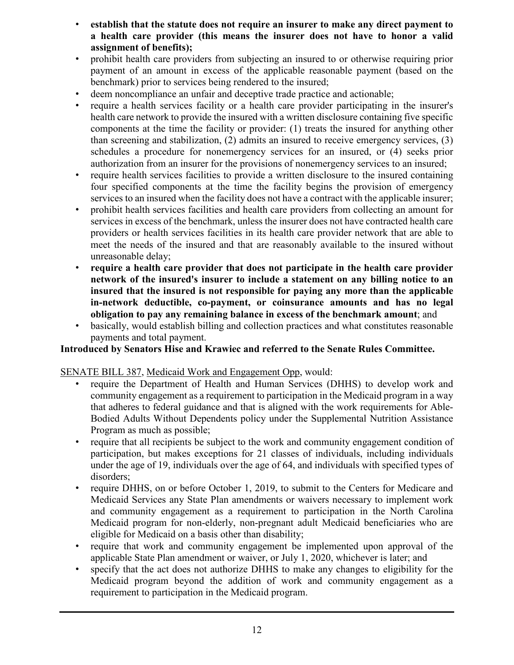- **establish that the statute does not require an insurer to make any direct payment to a health care provider (this means the insurer does not have to honor a valid assignment of benefits);**
- prohibit health care providers from subjecting an insured to or otherwise requiring prior payment of an amount in excess of the applicable reasonable payment (based on the benchmark) prior to services being rendered to the insured;
- deem noncompliance an unfair and deceptive trade practice and actionable;
- require a health services facility or a health care provider participating in the insurer's health care network to provide the insured with a written disclosure containing five specific components at the time the facility or provider: (1) treats the insured for anything other than screening and stabilization, (2) admits an insured to receive emergency services, (3) schedules a procedure for nonemergency services for an insured, or (4) seeks prior authorization from an insurer for the provisions of nonemergency services to an insured;
- require health services facilities to provide a written disclosure to the insured containing four specified components at the time the facility begins the provision of emergency services to an insured when the facility does not have a contract with the applicable insurer;
- prohibit health services facilities and health care providers from collecting an amount for services in excess of the benchmark, unless the insurer does not have contracted health care providers or health services facilities in its health care provider network that are able to meet the needs of the insured and that are reasonably available to the insured without unreasonable delay;
- **require a health care provider that does not participate in the health care provider network of the insured's insurer to include a statement on any billing notice to an insured that the insured is not responsible for paying any more than the applicable in-network deductible, co-payment, or coinsurance amounts and has no legal obligation to pay any remaining balance in excess of the benchmark amount**; and
- basically, would establish billing and collection practices and what constitutes reasonable payments and total payment.

#### **Introduced by Senators Hise and Krawiec and referred to the Senate Rules Committee.**

#### SENATE BILL 387, Medicaid Work and Engagement Opp, would:

- require the Department of Health and Human Services (DHHS) to develop work and community engagement as a requirement to participation in the Medicaid program in a way that adheres to federal guidance and that is aligned with the work requirements for Able-Bodied Adults Without Dependents policy under the Supplemental Nutrition Assistance Program as much as possible;
- require that all recipients be subject to the work and community engagement condition of participation, but makes exceptions for 21 classes of individuals, including individuals under the age of 19, individuals over the age of 64, and individuals with specified types of disorders;
- require DHHS, on or before October 1, 2019, to submit to the Centers for Medicare and Medicaid Services any State Plan amendments or waivers necessary to implement work and community engagement as a requirement to participation in the North Carolina Medicaid program for non-elderly, non-pregnant adult Medicaid beneficiaries who are eligible for Medicaid on a basis other than disability;
- require that work and community engagement be implemented upon approval of the applicable State Plan amendment or waiver, or July 1, 2020, whichever is later; and
- specify that the act does not authorize DHHS to make any changes to eligibility for the Medicaid program beyond the addition of work and community engagement as a requirement to participation in the Medicaid program.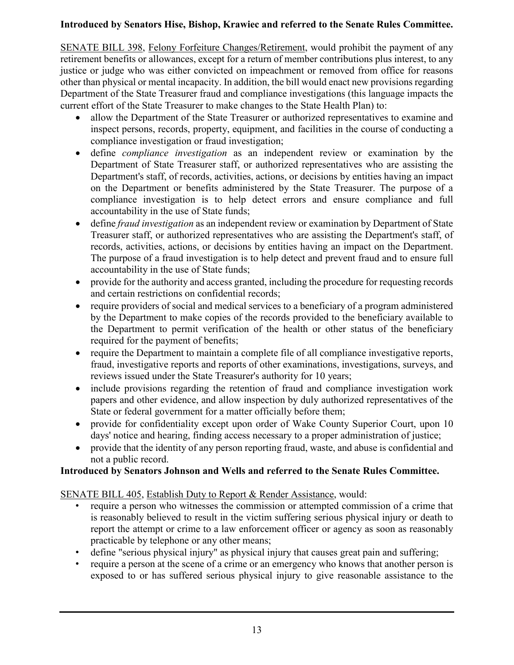### **Introduced by Senators Hise, Bishop, Krawiec and referred to the Senate Rules Committee.**

SENATE BILL 398, Felony Forfeiture Changes/Retirement, would prohibit the payment of any retirement benefits or allowances, except for a return of member contributions plus interest, to any justice or judge who was either convicted on impeachment or removed from office for reasons other than physical or mental incapacity. In addition, the bill would enact new provisions regarding Department of the State Treasurer fraud and compliance investigations (this language impacts the current effort of the State Treasurer to make changes to the State Health Plan) to:

- allow the Department of the State Treasurer or authorized representatives to examine and inspect persons, records, property, equipment, and facilities in the course of conducting a compliance investigation or fraud investigation;
- define *compliance investigation* as an independent review or examination by the Department of State Treasurer staff, or authorized representatives who are assisting the Department's staff, of records, activities, actions, or decisions by entities having an impact on the Department or benefits administered by the State Treasurer. The purpose of a compliance investigation is to help detect errors and ensure compliance and full accountability in the use of State funds;
- define *fraud investigation* as an independent review or examination by Department of State Treasurer staff, or authorized representatives who are assisting the Department's staff, of records, activities, actions, or decisions by entities having an impact on the Department. The purpose of a fraud investigation is to help detect and prevent fraud and to ensure full accountability in the use of State funds;
- provide for the authority and access granted, including the procedure for requesting records and certain restrictions on confidential records;
- require providers of social and medical services to a beneficiary of a program administered by the Department to make copies of the records provided to the beneficiary available to the Department to permit verification of the health or other status of the beneficiary required for the payment of benefits;
- require the Department to maintain a complete file of all compliance investigative reports, fraud, investigative reports and reports of other examinations, investigations, surveys, and reviews issued under the State Treasurer's authority for 10 years;
- include provisions regarding the retention of fraud and compliance investigation work papers and other evidence, and allow inspection by duly authorized representatives of the State or federal government for a matter officially before them;
- provide for confidentiality except upon order of Wake County Superior Court, upon 10 days' notice and hearing, finding access necessary to a proper administration of justice;
- provide that the identity of any person reporting fraud, waste, and abuse is confidential and not a public record.

### **Introduced by Senators Johnson and Wells and referred to the Senate Rules Committee.**

SENATE BILL 405, Establish Duty to Report & Render Assistance, would:

- require a person who witnesses the commission or attempted commission of a crime that is reasonably believed to result in the victim suffering serious physical injury or death to report the attempt or crime to a law enforcement officer or agency as soon as reasonably practicable by telephone or any other means;
- define "serious physical injury" as physical injury that causes great pain and suffering;
- require a person at the scene of a crime or an emergency who knows that another person is exposed to or has suffered serious physical injury to give reasonable assistance to the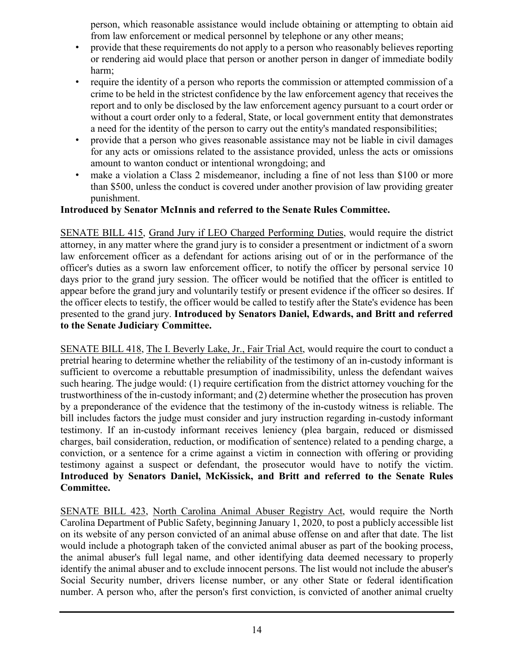person, which reasonable assistance would include obtaining or attempting to obtain aid from law enforcement or medical personnel by telephone or any other means;

- provide that these requirements do not apply to a person who reasonably believes reporting or rendering aid would place that person or another person in danger of immediate bodily harm;
- require the identity of a person who reports the commission or attempted commission of a crime to be held in the strictest confidence by the law enforcement agency that receives the report and to only be disclosed by the law enforcement agency pursuant to a court order or without a court order only to a federal, State, or local government entity that demonstrates a need for the identity of the person to carry out the entity's mandated responsibilities;
- provide that a person who gives reasonable assistance may not be liable in civil damages for any acts or omissions related to the assistance provided, unless the acts or omissions amount to wanton conduct or intentional wrongdoing; and
- make a violation a Class 2 misdemeanor, including a fine of not less than \$100 or more than \$500, unless the conduct is covered under another provision of law providing greater punishment.

### **Introduced by Senator McInnis and referred to the Senate Rules Committee.**

SENATE BILL 415, Grand Jury if LEO Charged Performing Duties, would require the district attorney, in any matter where the grand jury is to consider a presentment or indictment of a sworn law enforcement officer as a defendant for actions arising out of or in the performance of the officer's duties as a sworn law enforcement officer, to notify the officer by personal service 10 days prior to the grand jury session. The officer would be notified that the officer is entitled to appear before the grand jury and voluntarily testify or present evidence if the officer so desires. If the officer elects to testify, the officer would be called to testify after the State's evidence has been presented to the grand jury. **Introduced by Senators Daniel, Edwards, and Britt and referred to the Senate Judiciary Committee.**

SENATE BILL 418, The I. Beverly Lake, Jr., Fair Trial Act, would require the court to conduct a pretrial hearing to determine whether the reliability of the testimony of an in-custody informant is sufficient to overcome a rebuttable presumption of inadmissibility, unless the defendant waives such hearing. The judge would: (1) require certification from the district attorney vouching for the trustworthiness of the in-custody informant; and (2) determine whether the prosecution has proven by a preponderance of the evidence that the testimony of the in-custody witness is reliable. The bill includes factors the judge must consider and jury instruction regarding in-custody informant testimony. If an in-custody informant receives leniency (plea bargain, reduced or dismissed charges, bail consideration, reduction, or modification of sentence) related to a pending charge, a conviction, or a sentence for a crime against a victim in connection with offering or providing testimony against a suspect or defendant, the prosecutor would have to notify the victim. **Introduced by Senators Daniel, McKissick, and Britt and referred to the Senate Rules Committee.**

SENATE BILL 423, North Carolina Animal Abuser Registry Act, would require the North Carolina Department of Public Safety, beginning January 1, 2020, to post a publicly accessible list on its website of any person convicted of an animal abuse offense on and after that date. The list would include a photograph taken of the convicted animal abuser as part of the booking process, the animal abuser's full legal name, and other identifying data deemed necessary to properly identify the animal abuser and to exclude innocent persons. The list would not include the abuser's Social Security number, drivers license number, or any other State or federal identification number. A person who, after the person's first conviction, is convicted of another animal cruelty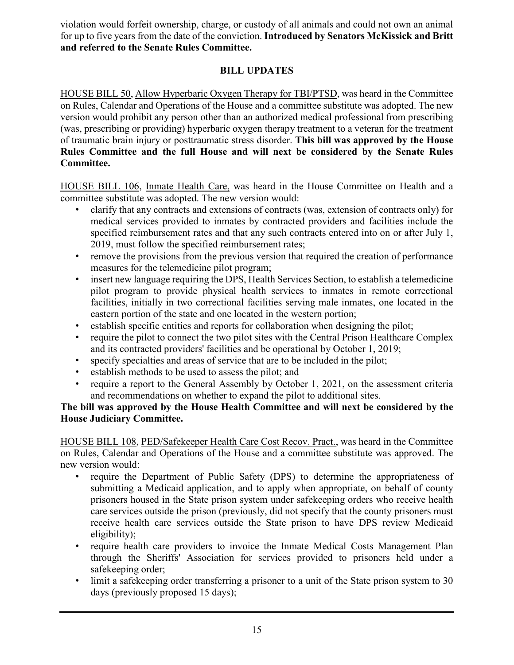violation would forfeit ownership, charge, or custody of all animals and could not own an animal for up to five years from the date of the conviction. **Introduced by Senators McKissick and Britt and referred to the Senate Rules Committee.**

### **BILL UPDATES**

HOUSE BILL 50, Allow Hyperbaric Oxygen Therapy for TBI/PTSD, was heard in the Committee on Rules, Calendar and Operations of the House and a committee substitute was adopted. The new version would prohibit any person other than an authorized medical professional from prescribing (was, prescribing or providing) hyperbaric oxygen therapy treatment to a veteran for the treatment of traumatic brain injury or posttraumatic stress disorder. **This bill was approved by the House Rules Committee and the full House and will next be considered by the Senate Rules Committee.**

HOUSE BILL 106, Inmate Health Care, was heard in the House Committee on Health and a committee substitute was adopted. The new version would:

- clarify that any contracts and extensions of contracts (was, extension of contracts only) for medical services provided to inmates by contracted providers and facilities include the specified reimbursement rates and that any such contracts entered into on or after July 1, 2019, must follow the specified reimbursement rates;
- remove the provisions from the previous version that required the creation of performance measures for the telemedicine pilot program;
- insert new language requiring the DPS, Health Services Section, to establish a telemedicine pilot program to provide physical health services to inmates in remote correctional facilities, initially in two correctional facilities serving male inmates, one located in the eastern portion of the state and one located in the western portion;
- establish specific entities and reports for collaboration when designing the pilot;
- require the pilot to connect the two pilot sites with the Central Prison Healthcare Complex and its contracted providers' facilities and be operational by October 1, 2019;
- specify specialties and areas of service that are to be included in the pilot;
- establish methods to be used to assess the pilot; and
- require a report to the General Assembly by October 1, 2021, on the assessment criteria and recommendations on whether to expand the pilot to additional sites.

#### **The bill was approved by the House Health Committee and will next be considered by the House Judiciary Committee.**

HOUSE BILL 108, PED/Safekeeper Health Care Cost Recov. Pract., was heard in the Committee on Rules, Calendar and Operations of the House and a committee substitute was approved. The new version would:

- require the Department of Public Safety (DPS) to determine the appropriateness of submitting a Medicaid application, and to apply when appropriate, on behalf of county prisoners housed in the State prison system under safekeeping orders who receive health care services outside the prison (previously, did not specify that the county prisoners must receive health care services outside the State prison to have DPS review Medicaid eligibility);
- require health care providers to invoice the Inmate Medical Costs Management Plan through the Sheriffs' Association for services provided to prisoners held under a safekeeping order;
- limit a safekeeping order transferring a prisoner to a unit of the State prison system to 30 days (previously proposed 15 days);